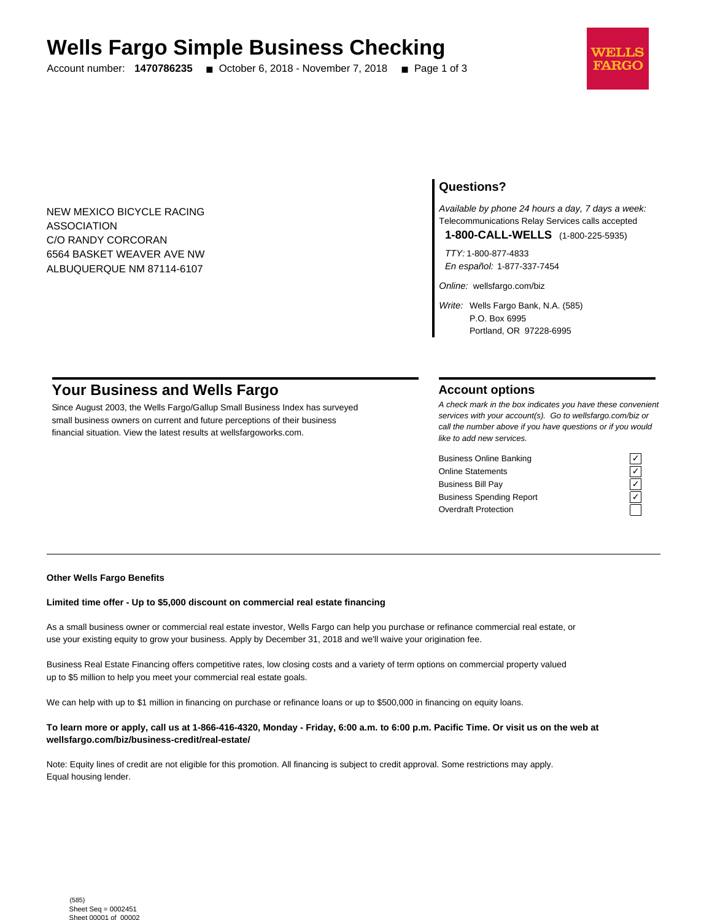# **Wells Fargo Simple Business Checking**

Account number: **1470786235** ■ October 6, 2018 - November 7, 2018 ■ Page 1 of 3



NEW MEXICO BICYCLE RACING ASSOCIATION C/O RANDY CORCORAN 6564 BASKET WEAVER AVE NW ALBUQUERQUE NM 87114-6107

## **Questions?**

Available by phone 24 hours a day, 7 days a week: Telecommunications Relay Services calls accepted

**1-800-CALL-WELLS** (1-800-225-5935)

TTY: 1-800-877-4833 En español: 1-877-337-7454

Online: wellsfargo.com/biz

Write: Wells Fargo Bank, N.A. (585) P.O. Box 6995 Portland, OR 97228-6995

# **Your Business and Wells Fargo**

Since August 2003, the Wells Fargo/Gallup Small Business Index has surveyed small business owners on current and future perceptions of their business financial situation. View the latest results at wellsfargoworks.com.

## **Account options**

A check mark in the box indicates you have these convenient services with your account(s). Go to wellsfargo.com/biz or call the number above if you have questions or if you would like to add new services.

Business Online Banking Online Statements ✓ Business Bill Pay Business Spending Report Overdraft Protection

#### **Other Wells Fargo Benefits**

### **Limited time offer - Up to \$5,000 discount on commercial real estate financing**

As a small business owner or commercial real estate investor, Wells Fargo can help you purchase or refinance commercial real estate, or use your existing equity to grow your business. Apply by December 31, 2018 and we'll waive your origination fee.

Business Real Estate Financing offers competitive rates, low closing costs and a variety of term options on commercial property valued up to \$5 million to help you meet your commercial real estate goals.

We can help with up to \$1 million in financing on purchase or refinance loans or up to \$500,000 in financing on equity loans.

### **To learn more or apply, call us at 1-866-416-4320, Monday - Friday, 6:00 a.m. to 6:00 p.m. Pacific Time. Or visit us on the web at wellsfargo.com/biz/business-credit/real-estate/**

Note: Equity lines of credit are not eligible for this promotion. All financing is subject to credit approval. Some restrictions may apply. Equal housing lender.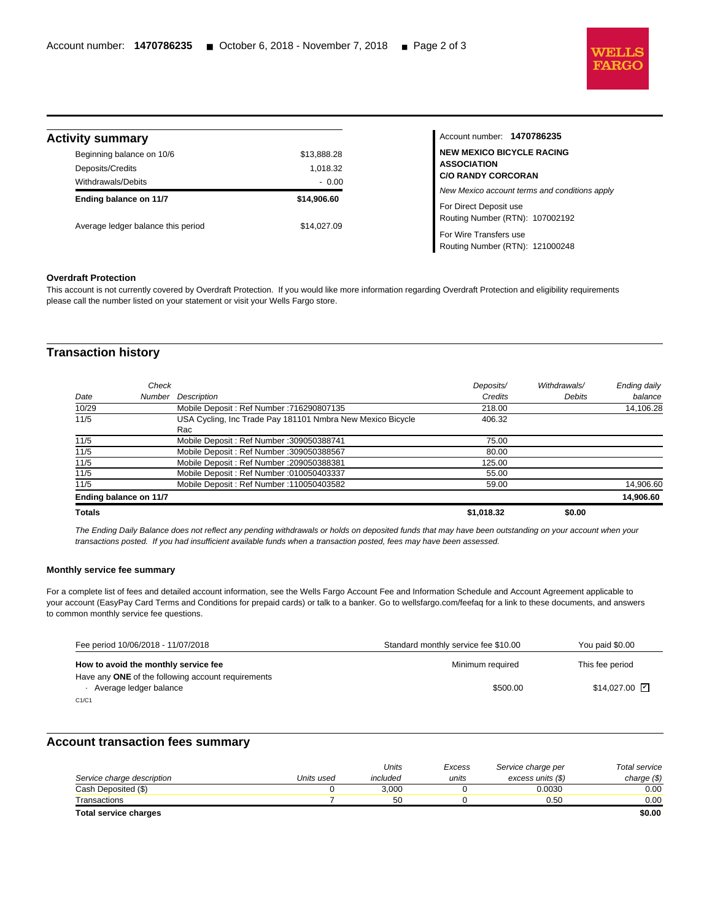

| <b>Activity summary</b>            |             |
|------------------------------------|-------------|
| Beginning balance on 10/6          | \$13,888.28 |
| Deposits/Credits                   | 1,018.32    |
| Withdrawals/Debits                 | $-0.00$     |
| Ending balance on 11/7             | \$14,906.60 |
| Average ledger balance this period | \$14,027.09 |

## Account number: **1470786235 NEW MEXICO BICYCLE RACING SOCIATION C/O RANDY CORCORAN** w Mexico account terms and conditions apply Direct Deposit use uting Number (RTN): 107002192 Wire Transfers use Routing Number (RTN): 121000248

#### **Overdraft Protection**

l

This account is not currently covered by Overdraft Protection. If you would like more information regarding Overdraft Protection and eligibility requirements please call the number listed on your statement or visit your Wells Fargo store.

## **Transaction history**

|               | Check                  |                                                            | Deposits/  | Withdrawals/  | Ending daily |
|---------------|------------------------|------------------------------------------------------------|------------|---------------|--------------|
| Date          | Number                 | Description                                                | Credits    | <b>Debits</b> | balance      |
| 10/29         |                        | Mobile Deposit: Ref Number: 716290807135                   | 218.00     |               | 14,106.28    |
| 11/5          |                        | USA Cycling, Inc Trade Pay 181101 Nmbra New Mexico Bicycle | 406.32     |               |              |
|               |                        | Rac                                                        |            |               |              |
| 11/5          |                        | Mobile Deposit: Ref Number: 309050388741                   | 75.00      |               |              |
| 11/5          |                        | Mobile Deposit: Ref Number: 309050388567                   | 80.00      |               |              |
| 11/5          |                        | Mobile Deposit: Ref Number: 209050388381                   | 125.00     |               |              |
| 11/5          |                        | Mobile Deposit: Ref Number: 010050403337                   | 55.00      |               |              |
| 11/5          |                        | Mobile Deposit: Ref Number: 110050403582                   | 59.00      |               | 14,906.60    |
|               | Ending balance on 11/7 |                                                            |            |               | 14,906.60    |
| <b>Totals</b> |                        |                                                            | \$1,018.32 | \$0.00        |              |

The Ending Daily Balance does not reflect any pending withdrawals or holds on deposited funds that may have been outstanding on your account when your transactions posted. If you had insufficient available funds when a transaction posted, fees may have been assessed.

#### **Monthly service fee summary**

For a complete list of fees and detailed account information, see the Wells Fargo Account Fee and Information Schedule and Account Agreement applicable to your account (EasyPay Card Terms and Conditions for prepaid cards) or talk to a banker. Go to wellsfargo.com/feefaq for a link to these documents, and answers to common monthly service fee questions.

| Fee period 10/06/2018 - 11/07/2018                 | Standard monthly service fee \$10.00 | You paid \$0.00              |
|----------------------------------------------------|--------------------------------------|------------------------------|
| How to avoid the monthly service fee               | Minimum required                     | This fee period              |
| Have any ONE of the following account requirements |                                      |                              |
| Average ledger balance                             | \$500.00                             | $$14.027.00$ $\triangledown$ |
| C1/C1                                              |                                      |                              |

## **Account transaction fees summary**

|                            |            | Units    | Excess | Service charge per | <b>Total service</b> |
|----------------------------|------------|----------|--------|--------------------|----------------------|
| Service charge description | Units used | included | units  | excess units (\$)  | charge $(\$)$        |
| Cash Deposited (\$)        |            | 3.000    |        | 0.0030             | 0.00                 |
| Transactions               |            | 50       |        | 0.50               | 0.00                 |
| Total service charges      |            |          |        |                    | \$0.00               |